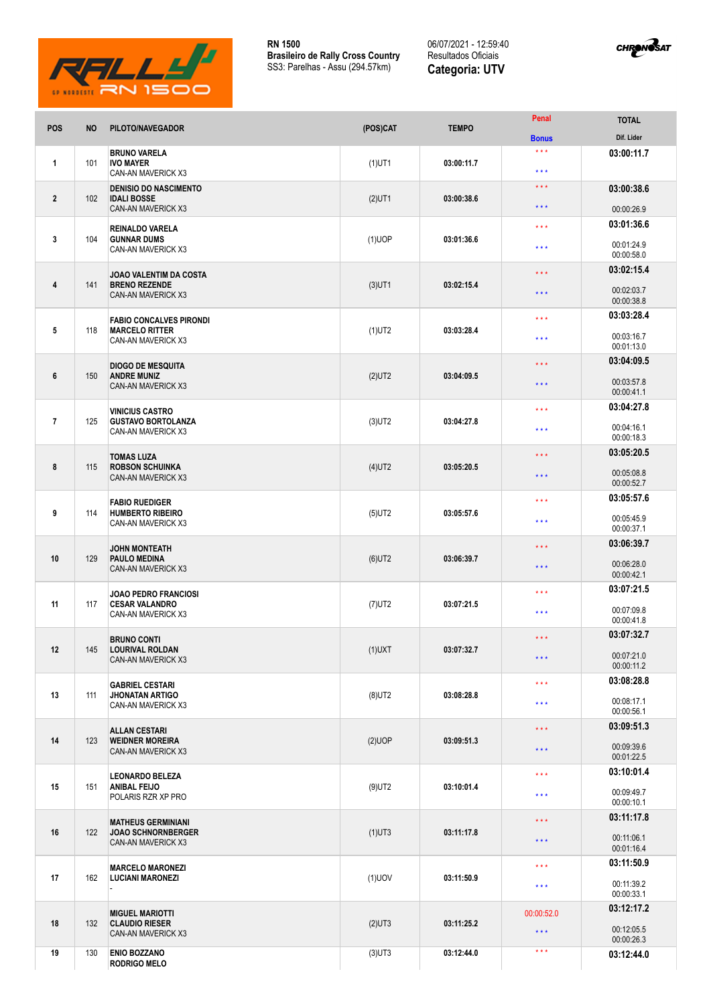

06/07/2021 - 12:59:40 Resultados Oficiais **Categoria: UTV**



| POS            | <b>NO</b> | PILOTO/NAVEGADOR                                                                    | (POS)CAT  | <b>TEMPO</b> | Penal                                          | <b>TOTAL</b>                           |
|----------------|-----------|-------------------------------------------------------------------------------------|-----------|--------------|------------------------------------------------|----------------------------------------|
|                |           |                                                                                     |           |              | <b>Bonus</b>                                   | Dif. Lider                             |
| 1              | 101       | <b>BRUNO VARELA</b><br><b>IVO MAYER</b><br>CAN-AN MAVERICK X3                       | $(1)$ UT1 | 03:00:11.7   | $\star$ $\star$ $\star$<br>$***$               | 03:00:11.7                             |
| $\mathbf{2}$   | 102       | <b>DENISIO DO NASCIMENTO</b><br><b>IDALI BOSSE</b>                                  |           | 03:00:38.6   | $\star$ $\star$ $\star$                        | 03:00:38.6                             |
|                |           | <b>CAN-AN MAVERICK X3</b>                                                           | $(2)$ UT1 |              | $\star\star\star$                              | 00:00:26.9                             |
| 3              | 104       | <b>REINALDO VARELA</b><br><b>GUNNAR DUMS</b><br>CAN-AN MAVERICK X3                  | $(1)$ UOP | 03:01:36.6   | $\star$ $\star$ $\star$<br>$\star \star \star$ | 03:01:36.6<br>00:01:24.9               |
|                |           |                                                                                     |           |              |                                                | 00:00:58.0                             |
| 4              | 141       | <b>JOAO VALENTIM DA COSTA</b><br><b>BRENO REZENDE</b><br><b>CAN-AN MAVERICK X3</b>  | $(3)$ UT1 | 03:02:15.4   | $\star$ $\star$ $\star$<br>$***$               | 03:02:15.4<br>00:02:03.7<br>00:00:38.8 |
|                |           | <b>FABIO CONCALVES PIRONDI</b>                                                      |           |              | $***$                                          | 03:03:28.4                             |
| 5              | 118       | <b>MARCELO RITTER</b><br>CAN-AN MAVERICK X3                                         | $(1)$ UT2 | 03:03:28.4   | $***$                                          | 00:03:16.7<br>00:01:13.0               |
|                |           | <b>DIOGO DE MESQUITA</b>                                                            |           |              | $\star$ $\star$ $\star$                        | 03:04:09.5                             |
| 6              | 150       | <b>ANDRE MUNIZ</b><br><b>CAN-AN MAVERICK X3</b>                                     | $(2)$ UT2 | 03:04:09.5   | $\star$ $\star$ $\star$                        | 00:03:57.8<br>00:00:41.1               |
|                |           | <b>VINICIUS CASTRO</b>                                                              |           |              | $\star$ $\star$ $\star$                        | 03:04:27.8                             |
| $\overline{7}$ | 125       | <b>GUSTAVO BORTOLANZA</b><br>CAN-AN MAVERICK X3                                     | $(3)$ UT2 | 03:04:27.8   | $\star$ $\star$ $\star$                        | 00:04:16.1<br>00:00:18.3               |
| 8              |           | <b>TOMAS LUZA</b><br><b>ROBSON SCHUINKA</b>                                         |           | 03:05:20.5   | $\star$ $\star$ $\star$                        | 03:05:20.5                             |
|                | 115       | <b>CAN-AN MAVERICK X3</b>                                                           | $(4)$ UT2 |              | $***$                                          | 00:05:08.8<br>00:00:52.7               |
| 9              |           | <b>FABIO RUEDIGER</b>                                                               |           |              | $\star \star \star$                            | 03:05:57.6                             |
|                | 114       | <b>HUMBERTO RIBEIRO</b><br>CAN-AN MAVERICK X3                                       | $(5)$ UT2 | 03:05:57.6   | $***$                                          | 00:05:45.9<br>00:00:37.1               |
|                |           | <b>JOHN MONTEATH</b>                                                                |           | 03:06:39.7   | $\star$ $\star$ $\star$                        | 03:06:39.7                             |
| 10             | 129       | <b>PAULO MEDINA</b><br><b>CAN-AN MAVERICK X3</b>                                    | $(6)$ UT2 |              | $***$                                          | 00:06:28.0<br>00:00:42.1               |
|                |           | <b>JOAO PEDRO FRANCIOSI</b>                                                         |           |              | $\star$ $\star$ $\star$                        | 03:07:21.5                             |
| 11             | 117       | <b>CESAR VALANDRO</b><br>CAN-AN MAVERICK X3                                         | $(7)$ UT2 | 03:07:21.5   | $***$                                          | 00:07:09.8<br>00:00:41.8               |
|                |           | <b>BRUNO CONTI</b>                                                                  |           | 03:07:32.7   | $\star$ $\star$ $\star$                        | 03:07:32.7                             |
| 12             | 145       | <b>LOURIVAL ROLDAN</b><br><b>CAN-AN MAVERICK X3</b>                                 | $(1)$ UXT |              | $\star$ $\star$ $\star$                        | 00:07:21.0<br>00:00:11.2               |
|                |           | <b>GABRIEL CESTARI</b>                                                              |           |              | $\star\star\star$                              | 03:08:28.8                             |
| 13             | 111       | <b>JHONATAN ARTIGO</b><br>CAN-AN MAVERICK X3                                        | $(8)$ UT2 | 03:08:28.8   | $\star\star\star$                              | 00:08:17.1<br>00:00:56.1               |
|                |           | <b>ALLAN CESTARI</b><br><b>WEIDNER MOREIRA</b><br><b>CAN-AN MAVERICK X3</b>         | $(2)$ UOP | 03:09:51.3   | $\star$ $\star$ $\star$                        | 03:09:51.3                             |
| 14             | 123       |                                                                                     |           |              | $\star\star\star$                              | 00:09:39.6<br>00:01:22.5               |
|                |           | <b>LEONARDO BELEZA</b>                                                              | $(9)$ UT2 | 03:10:01.4   | $\star\star\star$                              | 03:10:01.4                             |
| 15             | 151       | <b>ANIBAL FEIJO</b><br>POLARIS RZR XP PRO                                           |           |              | $\star$ $\star$ $\star$                        | 00:09:49.7<br>00:00:10.1               |
|                | 122       | <b>MATHEUS GERMINIANI</b><br><b>JOAO SCHNORNBERGER</b><br><b>CAN-AN MAVERICK X3</b> | $(1)$ UT3 | 03:11:17.8   | $\star$ $\star$ $\star$                        | 03:11:17.8                             |
| 16             |           |                                                                                     |           |              | $\star$ $\star$ $\star$                        | 00:11:06.1<br>00:01:16.4               |
|                | 162       | <b>MARCELO MARONEZI</b><br><b>LUCIANI MARONEZI</b>                                  | $(1)$ UOV | 03:11:50.9   | $\star$ $\star$ $\star$                        | 03:11:50.9                             |
| 17             |           |                                                                                     |           |              | $\star\star\star$                              | 00:11:39.2<br>00:00:33.1               |
|                |           | <b>MIGUEL MARIOTTI</b>                                                              |           | 03:11:25.2   | 00:00:52.0                                     | 03:12:17.2                             |
| 18             | 132       | <b>CLAUDIO RIESER</b><br><b>CAN-AN MAVERICK X3</b>                                  | $(2)$ UT3 |              | $\star$ $\star$ $\star$                        | 00:12:05.5<br>00:00:26.3               |
| 19             | 130       | <b>ENIO BOZZANO</b><br><b>RODRIGO MELO</b>                                          | $(3)$ UT3 | 03:12:44.0   | $\star$ $\star$ $\star$                        | 03:12:44.0                             |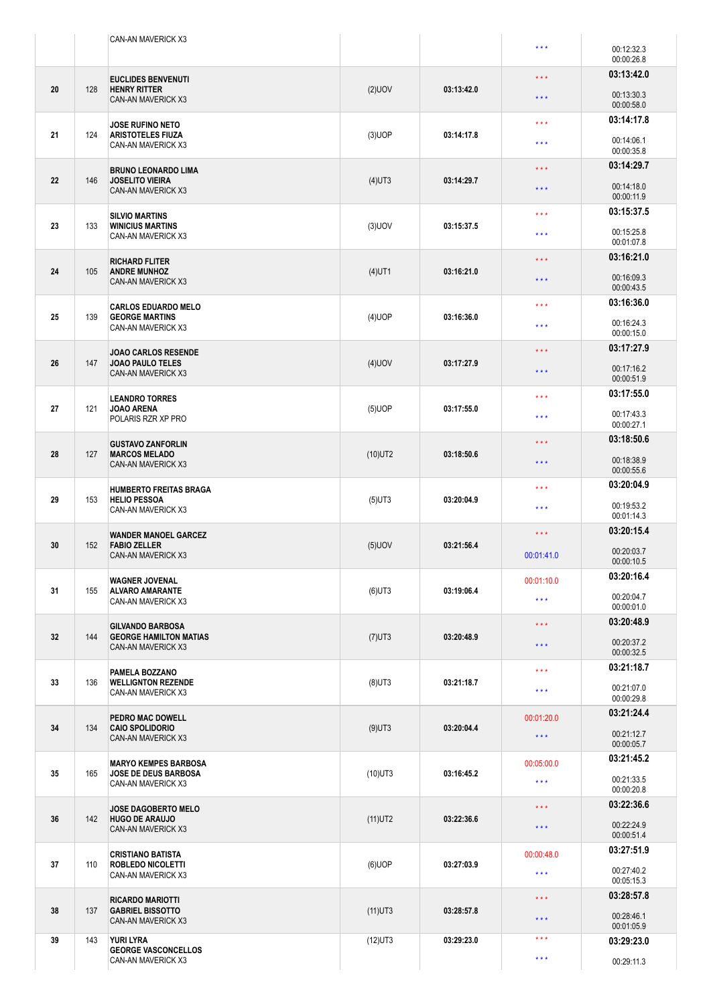|    |     | CAN-AN MAVERICK X3                                                               |            |            | $\star$ $\star$ $\star$ | 00:12:32.3<br>00:00:26.8 |
|----|-----|----------------------------------------------------------------------------------|------------|------------|-------------------------|--------------------------|
|    |     |                                                                                  |            |            | $\star$ $\star$ $\star$ | 03:13:42.0               |
| 20 | 128 | <b>EUCLIDES BENVENUTI</b><br><b>HENRY RITTER</b><br><b>CAN-AN MAVERICK X3</b>    | $(2)$ UOV  | 03:13:42.0 | $\star$ $\star$ $\star$ | 00:13:30.3<br>00:00:58.0 |
|    |     |                                                                                  |            |            | $***$                   | 03:14:17.8               |
| 21 | 124 | <b>JOSE RUFINO NETO</b><br><b>ARISTOTELES FIUZA</b><br><b>CAN-AN MAVERICK X3</b> | $(3)$ UOP  | 03:14:17.8 |                         | 00:14:06.1               |
|    |     |                                                                                  |            |            | $\star$ $\star$ $\star$ | 00:00:35.8               |
|    |     | <b>BRUNO LEONARDO LIMA</b>                                                       |            | 03:14:29.7 | $\star$ $\star$ $\star$ | 03:14:29.7               |
| 22 | 146 | <b>JOSELITO VIEIRA</b><br>CAN-AN MAVERICK X3                                     | $(4)$ UT3  |            | $\star$ $\star$ $\star$ | 00:14:18.0<br>00:00:11.9 |
|    |     | <b>SILVIO MARTINS</b><br><b>WINICIUS MARTINS</b><br>CAN-AN MAVERICK X3           | $(3)$ UOV  | 03:15:37.5 | $\star\star\star$       | 03:15:37.5               |
| 23 | 133 |                                                                                  |            |            | $\star\star\star$       | 00:15:25.8               |
|    |     |                                                                                  |            |            |                         | 00:01:07.8               |
|    | 105 | <b>RICHARD FLITER</b><br><b>ANDRE MUNHOZ</b><br><b>CAN-AN MAVERICK X3</b>        | $(4)$ UT1  | 03:16:21.0 | $\star$ $\star$ $\star$ | 03:16:21.0               |
| 24 |     |                                                                                  |            |            | $\star$ $\star$ $\star$ | 00:16:09.3               |
|    |     |                                                                                  |            |            |                         | 00:00:43.5               |
|    |     | <b>CARLOS EDUARDO MELO</b><br><b>GEORGE MARTINS</b><br>CAN-AN MAVERICK X3        |            | 03:16:36.0 | $\star \star \star$     | 03:16:36.0               |
| 25 | 139 |                                                                                  | $(4)$ UOP  |            | $\star$ $\star$ $\star$ | 00:16:24.3               |
|    |     |                                                                                  |            |            |                         | 00:00:15.0               |
| 26 | 147 | <b>JOAO CARLOS RESENDE</b><br><b>JOAO PAULO TELES</b>                            |            | 03:17:27.9 | $\star$ $\star$ $\star$ | 03:17:27.9               |
|    |     | <b>CAN-AN MAVERICK X3</b>                                                        | $(4)$ UOV  |            | $\star$ $\star$ $\star$ | 00:17:16.2<br>00:00:51.9 |
|    |     |                                                                                  |            |            |                         | 03:17:55.0               |
| 27 | 121 | <b>LEANDRO TORRES</b><br><b>JOAO ARENA</b><br>POLARIS RZR XP PRO                 | $(5)$ UOP  | 03:17:55.0 | $\star$ $\star$ $\star$ |                          |
|    |     |                                                                                  |            |            | ***                     | 00:17:43.3<br>00:00:27.1 |
|    |     |                                                                                  |            |            | $\star$ $\star$ $\star$ | 03:18:50.6               |
| 28 | 127 | <b>GUSTAVO ZANFORLIN</b><br><b>MARCOS MELADO</b>                                 | $(10)$ UT2 | 03:18:50.6 |                         |                          |
|    |     | CAN-AN MAVERICK X3                                                               |            |            | $\star$ $\star$ $\star$ | 00:18:38.9<br>00:00:55.6 |
|    | 153 | <b>HUMBERTO FREITAS BRAGA</b>                                                    | $(5)$ UT3  | 03:20:04.9 | $\star$ $\star$ $\star$ | 03:20:04.9               |
| 29 |     | <b>HELIO PESSOA</b>                                                              |            |            |                         | 00:19:53.2               |
|    |     | CAN-AN MAVERICK X3                                                               |            |            | $\star$ $\star$ $\star$ | 00:01:14.3               |
|    |     | <b>WANDER MANOEL GARCEZ</b><br><b>FABIO ZELLER</b><br>152<br>CAN-AN MAVERICK X3  |            |            | $\star$ $\star$ $\star$ | 03:20:15.4               |
| 30 |     |                                                                                  | $(5)$ UOV  | 03:21:56.4 |                         | 00:20:03.7               |
|    |     |                                                                                  |            |            | 00:01:41.0              | 00:00:10.5               |
|    | 155 | <b>WAGNER JOVENAL</b><br><b>ALVARO AMARANTE</b><br>CAN-AN MAVERICK X3            | $(6)$ UT3  | 03:19:06.4 | 00:01:10.0              | 03:20:16.4               |
| 31 |     |                                                                                  |            |            | $\star\star\star$       | 00:20:04.7               |
|    |     |                                                                                  |            |            |                         | 00:00:01.0               |
|    | 144 | <b>GILVANDO BARBOSA</b><br><b>GEORGE HAMILTON MATIAS</b><br>CAN-AN MAVERICK X3   | $(7)$ UT3  | 03:20:48.9 | $\star$ $\star$ $\star$ | 03:20:48.9               |
| 32 |     |                                                                                  |            |            | $\star\star\star$       | 00:20:37.2               |
|    |     |                                                                                  |            |            |                         | 00:00:32.5<br>03:21:18.7 |
| 33 | 136 | PAMELA BOZZANO<br><b>WELLIGNTON REZENDE</b><br>CAN-AN MAVERICK X3                | $(8)$ UT3  | 03:21:18.7 | $\star\star\star$       |                          |
|    |     |                                                                                  |            |            | $\star\star\star$       | 00:21:07.0<br>00:00:29.8 |
|    | 134 | PEDRO MAC DOWELL<br><b>CAIO SPOLIDORIO</b><br><b>CAN-AN MAVERICK X3</b>          | $(9)$ UT3  | 03:20:04.4 |                         | 03:21:24.4               |
| 34 |     |                                                                                  |            |            | 00:01:20.0              |                          |
|    |     |                                                                                  |            |            | $\star$ $\star$ $\star$ | 00:21:12.7<br>00:00:05.7 |
|    | 165 | <b>MARYO KEMPES BARBOSA</b>                                                      | $(10)$ UT3 | 03:16:45.2 | 00:05:00.0              | 03:21:45.2               |
| 35 |     | <b>JOSE DE DEUS BARBOSA</b>                                                      |            |            | $\star\star\star$       | 00:21:33.5               |
|    |     | CAN-AN MAVERICK X3                                                               |            |            |                         | 00:00:20.8               |
|    | 142 | <b>JOSE DAGOBERTO MELO</b>                                                       | $(11)$ UT2 | 03:22:36.6 | $\star\star\star$       | 03:22:36.6               |
| 36 |     | <b>HUGO DE ARAUJO</b><br>CAN-AN MAVERICK X3                                      |            |            | $\star$ $\star$ $\star$ | 00:22:24.9               |
|    |     |                                                                                  |            |            |                         | 00:00:51.4               |
|    | 110 | <b>CRISTIANO BATISTA</b><br><b>ROBLEDO NICOLETTI</b><br>CAN-AN MAVERICK X3       | $(6)$ UOP  | 03:27:03.9 | 00:00:48.0              | 03:27:51.9               |
| 37 |     |                                                                                  |            |            | $\star\star\star$       | 00:27:40.2               |
|    |     |                                                                                  |            |            |                         | 00:05:15.3               |
|    | 137 | <b>RICARDO MARIOTTI</b><br><b>GABRIEL BISSOTTO</b><br><b>CAN-AN MAVERICK X3</b>  | $(11)$ UT3 | 03:28:57.8 | $\star\star\star$       | 03:28:57.8               |
| 38 |     |                                                                                  |            |            | $\star\star\star$       | 00:28:46.1<br>00:01:05.9 |
| 39 | 143 | YURI LYRA                                                                        | $(12)$ UT3 | 03:29:23.0 | $\star$ $\star$ $\star$ | 03:29:23.0               |
|    |     | <b>GEORGE VASCONCELLOS</b>                                                       |            |            | $\star\star\star$       |                          |
|    |     | CAN-AN MAVERICK X3                                                               |            |            |                         | 00:29:11.3               |